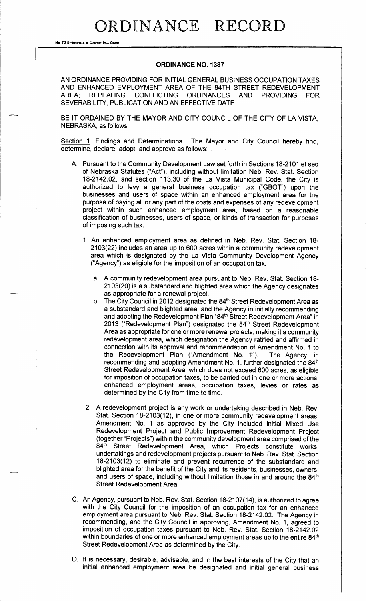No. 72 8-REDFIELD & COMPANY INC., OMAHA

### **ORDINANCE NO. 1387**

AN ORDINANCE PROVIDING FOR INITIAL GENERAL BUSINESS OCCUPATION TAXES AND ENHANCED EMPLOYMENT AREA OF THE 84TH STREET REDEVELOPMENT AREA: **REPEALING** CONFLICTING ORDINANCES AND PROVIDING **FOR** SEVERABILITY, PUBLICATION AND AN EFFECTIVE DATE.

BE IT ORDAINED BY THE MAYOR AND CITY COUNCIL OF THE CITY OF LA VISTA, NEBRASKA, as follows:

Section 1. Findings and Determinations. The Mayor and City Council hereby find, determine, declare, adopt, and approve as follows:

- A. Pursuant to the Community Development Law set forth in Sections 18-2101 et seq of Nebraska Statutes ("Act"), including without limitation Neb. Rev. Stat. Section 18-2142.02, and section 113.30 of the La Vista Municipal Code, the City is authorized to levy a general business occupation tax ("GBOT") upon the businesses and users of space within an enhanced employment area for the purpose of paying all or any part of the costs and expenses of any redevelopment project within such enhanced employment area, based on a reasonable classification of businesses, users of space, or kinds of transaction for purposes of imposing such tax.
	- 1. An enhanced employment area as defined in Neb. Rev. Stat. Section 18-2103(22) includes an area up to 600 acres within a community redevelopment area which is designated by the La Vista Community Development Agency ("Agency") as eligible for the imposition of an occupation tax.
		- a. A community redevelopment area pursuant to Neb. Rev. Stat. Section 18-2103(20) is a substandard and blighted area which the Agency designates as appropriate for a renewal project.
		- b. The City Council in 2012 designated the 84<sup>th</sup> Street Redevelopment Area as a substandard and blighted area, and the Agency in initially recommending and adopting the Redevelopment Plan "84<sup>th</sup> Street Redevelopment Area" in 2013 ("Redevelopment Plan") designated the 84<sup>th</sup> Street Redevelopment Area as appropriate for one or more renewal projects, making it a community redevelopment area, which designation the Agency ratified and affirmed in connection with its approval and recommendation of Amendment No. 1 to the Redevelopment Plan ("Amendment No. 1"). The Agency, in recommending and adopting Amendment No. 1, further designated the 84<sup>th</sup> Street Redevelopment Area, which does not exceed 600 acres, as eligible for imposition of occupation taxes, to be carried out in one or more actions, enhanced employment areas, occupation taxes, levies or rates as determined by the City from time to time.
	- 2. A redevelopment project is any work or undertaking described in Neb. Rev. Stat. Section 18-2103(12), in one or more community redevelopment areas. Amendment No. 1 as approved by the City included initial Mixed Use Redevelopment Project and Public Improvement Redevelopment Project (together "Projects") within the community development area comprised of the  $84<sup>th</sup>$ Street Redevelopment Area, which Projects constitute works, undertakings and redevelopment projects pursuant to Neb. Rev. Stat. Section 18-2103(12) to eliminate and prevent recurrence of the substandard and blighted area for the benefit of the City and its residents, businesses, owners, and users of space, including without limitation those in and around the 84<sup>th</sup> Street Redevelopment Area.
- C. An Agency, pursuant to Neb. Rev. Stat. Section 18-2107(14), is authorized to agree with the City Council for the imposition of an occupation tax for an enhanced employment area pursuant to Neb. Rev. Stat. Section 18-2142.02. The Agency in recommending, and the City Council in approving, Amendment No. 1, agreed to imposition of occupation taxes pursuant to Neb. Rev. Stat. Section 18-2142.02 within boundaries of one or more enhanced employment areas up to the entire 84<sup>th</sup> Street Redevelopment Area as determined by the City.
- D. It is necessary, desirable, advisable, and in the best interests of the City that an initial enhanced employment area be designated and initial general business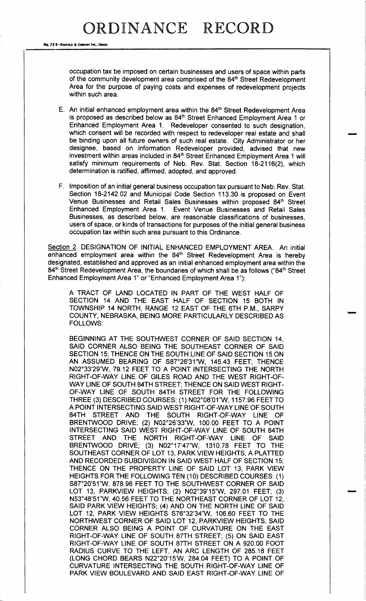No. 72 8-REDITELD & COMPANY INC., OMAHA

occupation tax be imposed on certain businesses and users of space within parts of the community development area comprised of the 84<sup>th</sup> Street Redevelopment Area for the purpose of paying costs and expenses of redevelopment projects within such area.

- E. An initial enhanced employment area within the 84<sup>th</sup> Street Redevelopment Area is proposed as described below as 84<sup>th</sup> Street Enhanced Employment Area 1 or Enhanced Employment Area 1. Redeveloper consented to such designation, which consent will be recorded with respect to redeveloper real estate and shall be binding upon all future owners of such real estate. City Administrator or her designee, based on information Redeveloper provided, advised that new investment within areas included in 84<sup>th</sup> Street Enhanced Employment Area 1 will satisfy minimum requirements of Neb. Rev. Stat. Section 18-2116(2), which determination is ratified, affirmed, adopted, and approved.
- F. Imposition of an initial general business occupation tax pursuant to Neb. Rev. Stat. Section 18-2142.02 and Municipal Code Section 113.30 is proposed on Event Venue Businesses and Retail Sales Businesses within proposed 84<sup>th</sup> Street Enhanced Employment Area 1. Event Venue Businesses and Retail Sales Businesses, as described below, are reasonable classifications of businesses, users of space, or kinds of transactions for purposes of the initial general business occupation tax within such area pursuant to this Ordinance.

Section 2. DESIGNATION OF INITIAL ENHANCED EMPLOYMENT AREA. An initial enhanced employment area within the 84<sup>th</sup> Street Redevelopment Area is hereby designated, established and approved as an initial enhanced employment area within the 84<sup>th</sup> Street Redevelopment Area, the boundaries of which shall be as follows ("84<sup>th</sup> Street Enhanced Employment Area 1" or "Enhanced Employment Area 1"):

A TRACT OF LAND LOCATED IN PART OF THE WEST HALF OF SECTION 14 AND THE EAST HALF OF SECTION 15 BOTH IN TOWNSHIP 14 NORTH, RANGE 12 EAST OF THE 6TH P. M., SARPY COUNTY, NEBRASKA, BEING MORE PARTICULARLY DESCRIBED AS FOLLOWS:

BEGINNING AT THE SOUTHWEST CORNER OF SAID SECTION 14, SAID CORNER ALSO BEING THE SOUTHEAST CORNER OF SAID SECTION 15; THENCE ON THE SOUTH LINE OF SAID SECTION 15 ON AN ASSUMED BEARING OF S87°26'31"W, 145.43 FEET; THENCE NO2° 33' 29"W, 79. 12 FEET TO A POINT INTERSECTING THE NORTH RIGHT- OF- WAY LINE OF GILES ROAD AND THE WEST RIGHT- OF-WAY LINE OF SOUTH 84TH STREET; THENCE ON SAID WEST RIGHT-OF-WAY LINE OF SOUTH 84TH STREET FOR THE FOLLOWING THREE (3) DESCRIBED COURSES: (1) N02°08'01"W, 1157.96 FEET TO A POINT INTERSECTING SAID WEST RIGHT-OF-WAY LINE OF SOUTH 84TH STREET AND THE SOUTH RIGHT-OF-WAY LINE OF BRENTWOOD DRIVE; (2) N02°26'33"W, 100.00 FEET TO A POINT INTERSECTING SAID WEST RIGHT-OF-WAY LINE OF SOUTH 84TH STREET AND THE NORTH RIGHT-OF-WAY LINE OF SAID BRENTWOOD DRIVE; (3) N02°17'47"W, 1310.78 FEET TO THE SOUTHEAST CORNER OF LOT 13, PARK VIEW HEIGHTS, A PLATTED AND RECORDED SUBDIVISION IN SAID WEST HALF OF SECTION 15; THENCE ON THE PROPERTY LINE OF SAID LOT 13, PARK VIEW HEIGHTS FOR THE FOLLOWING TEN ( 10) DESCRIBED COURSES: ( 1) S87°20'51"W, 878.96 FEET TO THE SOUTHWEST CORNER OF SAID LOT 13, PARKVIEW HEIGHTS; (2) N02°39'15"W, 297.01 FEET; (3) N53° 48' 51" W, 40. 56 FEET TO THE NORTHEAST CORNER OF LOT 12, SAID PARK VIEW HEIGHTS; (4) AND ON THE NORTH LINE OF SAID LOT 12, PARK VIEW HEIGHTS S76°32′34″W, 106.60 FEET TO THE NORTHWEST CORNER OF SAID LOT 12, PARKVIEW HEIGHTS, SAID CORNER ALSO BEING A POINT OF CURVATURE ON THE EAST RIGHT-OF-WAY LINE OF SOUTH 87TH STREET; (5) ON SAID EAST RIGHT-OF-WAY LINE OF SOUTH 87TH STREET ON A 920.00 FOOT RADIUS CURVE TO THE LEFT, AN ARC LENGTH OF 285. 18 FEET (LONG CHORD BEARS N22°20'15'W, 284.04 FEET) TO A POINT OF CURVATURE INTERSECTING THE SOUTH RIGHT-OF-WAY LINE OF PARK VIEW BOULEVARD AND SAID EAST RIGHT-OF-WAY LINE OF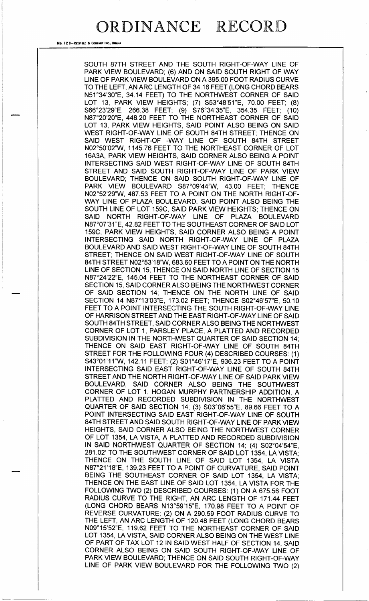No. 72 8-REDFIELD & COMPANY INC.. OMANA

SOUTH 87TH STREET AND THE SOUTH RIGHT-OF-WAY LINE OF PARK VIEW BOULEVARD; (6) AND ON SAID SOUTH RIGHT OF WAY LINE OF PARK VIEW BOULEVARD ON A 395. 00 FOOT RADIUS CURVE TO THE LEFT, AN ARC LENGTH OF 34.16 FEET (LONG CHORD BEARS N51° 34' 30" E, 34. 14 FEET) TO THE NORTHWEST CORNER OF SAID LOT 13, PARK VIEW HEIGHTS; (7) S53°48'51"E, 70.00 FEET; (8) S66°23'29"E, 266.38 FEET; (9) S76°34'35"E, 354.35 FEET; (10) N87°20'20"E, 448.20 FEET TO THE NORTHEAST CORNER OF SAID LOT 13, PARK VIEW HEIGHTS, SAID POINT ALSO BEING ON SAID WEST RIGHT-OF-WAY LINE OF SOUTH 84TH STREET; THENCE ON SAID WEST RIGHT-OF -WAY LINE OF SOUTH 84TH STREET NO2° 50' 02"W, 1145. 76 FEET TO THE NORTHEAST CORNER OF LOT 16A3A, PARK VIEW HEIGHTS, SAID CORNER ALSO BEING A POINT INTERSECTING SAID WEST RIGHT-OF-WAY LINE OF SOUTH 84TH STREET AND SAID SOUTH RIGHT-OF-WAY LINE OF PARK VIEW BOULEVARD; THENCE ON SAID SOUTH RIGHT-OF-WAY LINE OF PARK VIEW BOULEVARD S87°09'44"W, 43.00 FEET; THENCE NO2°52'29"W, 487.53 FEET TO A POINT ON THE NORTH RIGHT-OF-WAY LINE OF PLAZA BOULEVARD, SAID POINT ALSO BEING THE SOUTH LINE OF LOT 159C, SAID PARK VIEW HEIGHTS; THENCE ON SAID NORTH RIGHT-OF-WAY LINE OF PLAZA BOULEVARD N87°07'31"E, 42.82 FEET TO THE SOUTHEAST CORNER OF SAID LOT 159C, PARK VIEW HEIGHTS, SAID CORNER ALSO BEING A POINT INTERSECTING SAID NORTH RIGHT-OF-WAY LINE OF PLAZA BOULEVARD AND SAID WEST RIGHT-OF-WAY LINE OF SOUTH 84TH STREET; THENCE ON SAID WEST RIGHT-OF-WAY LINE OF SOUTH 84TH STREET N02°53'18"W, 683.60 FEET TO A POINT ON THE NORTH LINE OF SECTION 15; THENCE ON SAID NORTH LINE OF SECTION 15 N87°24'22"E, 145.04 FEET TO THE NORTHEAST CORNER OF SAID SECTION 15, SAID CORNER ALSO BEING THE NORTHWEST CORNER OF SAID SECTION 14; THENCE ON THE NORTH LINE OF SAID SECTION 14 N87°13'03"E, 173.02 FEET; THENCE S02°46'57"E, 50.10 FEET TO A POINT INTERSECTING THE SOUTH RIGHT-OF-WAY LINE OF HARRISON STREET AND THE EAST RIGHT-OF-WAY LINE OF SAID SOUTH 84TH STREET, SAID CORNER ALSO BEING THE NORTHWEST CORNER OF LOT 1, PARSLEY PLACE, A PLATTED AND RECORDED SUBDIVISION IN THE NORTHWEST QUARTER OF SAID SECTION 14; THENCE ON SAID EAST RIGHT-OF-WAY LINE OF SOUTH 84TH STREET FOR THE FOLLOWING FOUR (4) DESCRIBED COURSES: (1) S43°01'11"W, 142.11 FEET; (2) S01°46'17"E, 936.23 FEET TO A POINT INTERSECTING SAID EAST RIGHT-OF-WAY LINE OF SOUTH 84TH STREET AND THE NORTH RIGHT-OF-WAY LINE OF SAID PARK VIEW BOULEVARD, SAID CORNER ALSO BEING THE SOUTHWEST CORNER OF LOT 1, HOGAN MURPHY PARTNERSHIP ADDITION, A PLATTED AND RECORDED SUBDIVISION IN THE NORTHWEST QUARTER OF SAID SECTION 14; (3) S03°06'55"E, 89.66 FEET TO A POINT INTERSECTING SAID EAST RIGHT-OF-WAY LINE OF SOUTH 84TH STREET AND SAID SOUTH RIGHT-OF-WAY LINE OF PARK VIEW HEIGHTS, SAID CORNER ALSO BEING THE NORTHWEST CORNER OF LOT 1354, LA VISTA, A PLATTED AND RECORDED SUBDIVISION IN SAID NORTHWEST QUARTER OF SECTION 14; (4) S02°04'54"E, 281. 02' TO THE SOUTHWEST CORNER OF SAID LOT 1354, LA VISTA; THENCE ON THE SOUTH LINE OF SAID LOT 1354, LA VISTA N87° 21' 18" E, 139. 23 FEET TO A POINT OF CURVATURE, SAID POINT BEING THE SOUTHEAST CORNER OF SAID LOT 1354, LA VISTA; THENCE ON THE EAST LINE OF SAID LOT 1354, LA VISTA FOR THE FOLLOWING TWO (2) DESCRIBED COURSES: (1) ON A 675.56 FOOT RADIUS CURVE TO THE RIGHT, AN ARC LENGTH OF 171. 44 FEET (LONG CHORD BEARS N13°59'15"E, 170.98 FEET TO A POINT OF REVERSE CURVATURE; (2) ON A 290.59 FOOT RADIUS CURVE TO THE LEFT, AN ARC LENGTH OF 120.48 FEET (LONG CHORD BEARS N09° 15' 52" E, 119.62 FEET TO THE NORTHEAST CORNER OF SAID LOT 1354, LA VISTA, SAID CORNER ALSO BEING ON THE WEST LINE OF PART OF TAX LOT 12 IN SAID WEST HALF OF SECTION 14, SAID CORNER ALSO BEING ON SAID SOUTH RIGHT-OF-WAY LINE OF PARK VIEW BOULEVARD; THENCE ON SAID SOUTH RIGHT-OF-WAY LINE OF PARK VIEW BOULEVARD FOR THE FOLLOWING TWO (2)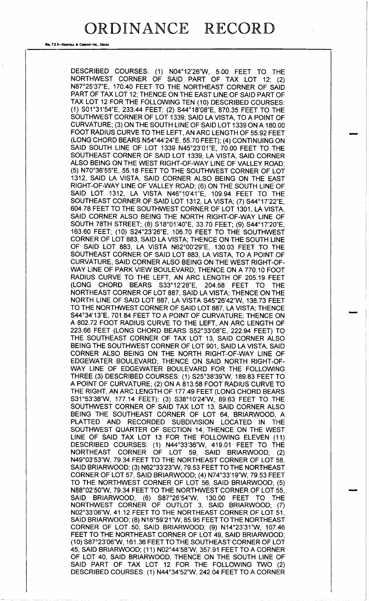No. 72 8-REDFIELD & COMPANY INC., OMAHA

DESCRIBED COURSES: (1) N04°12'26"W, 5.00 FEET TO THE NORTHWEST CORNER OF SAID PART OF TAX LOT 12; (2) N87°25'37"E, 170.40 FEET TO THE NORTHEAST CORNER OF SAID PART OF TAX LOT 12; THENCE ON THE EAST LINE OF SAID PART OF TAX LOT 12 FOR THE FOLLOWING TEN ( 10) DESCRIBED COURSES: 1) S01° 31' 54" E, 233. 44 FEET; ( 2) S44° 18' 08"E, 870. 35 FEET TO THE SOUTHWEST CORNER OF LOT 1339, SAID LA VISTA, TO A POINT OF CURVATURE; ( 3) ON THE SOUTH LINE OF SAID LOT 1339 ON A 180. 00 FOOT RADIUS CURVE TO THE LEFT, AN ARC LENGTH OF 55.92 FEET (LONG CHORD BEARS N54°44'24"E, 55.70 FEET); (4) CONTINUING ON SAID SOUTH LINE OF LOT 1339 N45°23'01"E, 70.00 FEET TO THE SOUTHEAST CORNER OF SAID LOT 1339, LA VISTA, SAID CORNER ALSO BEING ON THE WEST RIGHT-OF-WAY LINE OF VALLEY ROAD; 5) N70° 36' 55" E, 55. 18 FEET TO THE SOUTHWEST CORNER OF LOT 1312, SAID LA VISTA, SAID CORNER ALSO BEING ON THE EAST RIGHT-OF-WAY LINE OF VALLEY ROAD; (6) ON THE SOUTH LINE OF SAID LOT 1312, LA VISTA N46°10'41"E, 109.94 FEET TO THE SOUTHEAST CORNER OF SAID LOT 1312, LA VISTA; (7) S44°17'22"E, 604. 78 FEET TO THE SOUTHWEST CORNER OF LOT 1301, LA VISTA, SAID CORNER ALSO BEING THE NORTH RIGHT-OF-WAY LINE OF SOUTH 78TH STREET; (8) S18°01′40″E, 33.70 FEET; (9) S44°17′20″E 163.60 FEET; (10) S24°23'26"E, 106.70 FEET TO THE SOUTHWES CORNER OF LOT 883, SAID LA VISTA; THENCE ON THE SOUTH LINE OF SAID LOT 883, LA VISTA N62°00'29"E, 130.03 FEET TO THE SOUTHEAST CORNER OF SAID LOT 883, LA VISTA, TO A POINT OF CURVATURE, SAID CORNER ALSO BEING ON THE WEST RIGHT-OF-WAY LINE OF PARK VIEW BOULEVARD; THENCE ON A 770. 10 FOOT RADIUS CURVE TO THE LEFT, AN ARC LENGTH OF 205. 19 FEET (LONG CHORD BEARS S33°12'28"E, 204.58 FEET TO THE NORTHEAST CORNER OF LOT 887, SAID LA VISTA; THENCE ON THE NORTH LINE OF SAID LOT 887, LA VISTA S45°26'42"W, 138. 73 FEET TO THE NORTHWEST CORNER OF SAID LOT 887, LA VISTA; THENCE S44°34'13"E, 701.84 FEET TO A POINT OF CURVATURE; THENCE ON A 802. 72 FOOT RADIUS CURVE TO THE LEFT, AN ARC LENGTH OF 223. 66 FEET ( LONG CHORD BEARS S52° 33' 08" E, 222. 94 FEET) TO THE SOUTHEAST CORNER OF TAX LOT 13, SAID CORNER ALSO BEING THE SOUTHWEST CORNER OF LOT 901, SAID LA VISTA, SAID CORNER ALSO BEING ON THE NORTH RIGHT-OF-WAY LINE OF EDGEWATER BOULEVARD; THENCE ON SAID NORTH RIGHT-OF-WAY LINE OF EDGEWATER BOULEVARD FOR THE FOLLOWING THREE (3) DESCRIBED COURSES: (1) S25°38'39"W, 189.83 FEET TO A POINT OF CURVATURE; (2) ON A 813.58 FOOT RADIUS CURVE TO THE RIGHT, AN ARC LENGTH OF 177.49 FEET (LONG CHORD BEARS S31°53'38"W, 177.14 FEET); (3) S38°10'24"W, 89.63 FEET TO THE SOUTHWEST CORNER OF SAID TAX LOT 13, SAID CORNER ALSO BEING THE SOUTHEAST CORNER OF LOT 64, BRIARWOOD, A PLATTED AND RECORDED SUBDIVISION LOCATED IN THE SOUTHWEST QUARTER OF SECTION 14; THENCE ON THE WEST LINE OF SAID TAX LOT 13 FOR THE FOLLOWING ELEVEN (11) DESCRIBED COURSES: (1) N44°33'36"W, 419.01 FEET TO THE NORTHEAST CORNER OF LOT 59, SAID BRIARWOOD; ( 2) N49°03'53"W, 79.34 FEET TO THE NORTHEAST CORNER OF LOT 58, SAID BRIARWOOD; (3) N62°33'23"W, 79.53 FEET TO THE NORTHEAST CORNER OF LOT 57, SAID BRIARWOOD; (4) N74°33'19"W, 79.53 FEET TO THE NORTHWEST CORNER OF LOT 56, SAID BRIARWOOD; ( 5) N88°02'50"W, 79.34 FEET TO THE NORTHWEST CORNER OF LOT 55, SAID BRIARWOOD; (6) S87°26'54"W, 130.00 FEET TO THE NORTHWEST CORNER OF OUTLOT 3, SAID BRIARWOOD; (7) NO2° 33' 06"W, 41. 12 FEET TO THE NORTHEAST CORNER OF LOT 51, SAID BRIARWOOD; (8) N16°59'21"W, 85.95 FEET TO THE NORTHEAST CORNER OF LOT 50, SAID BRIARWOOD; (9) N14°23'31"W, 107.46 FEET TO THE NORTHEAST CORNER OF LOT 49, SAID BRIARWOOD; 10) S87° 23' 06"W, 161. 36 FEET TO THE SOUTHEAST CORNER OF LOT 45, SAID BRIARWOOD; ( 11) NO2° 44' 58" W, 357. 91 FEET TO A CORNER OF LOT 40, SAID BRIARWOOD; THENCE ON THE SOUTH LINE OF SAID PART OF TAX LOT 12 FOR THE FOLLOWING TWO (2) DESCRIBED COURSES: (1) N44°34'52"W, 242.04 FEET TO A CORNER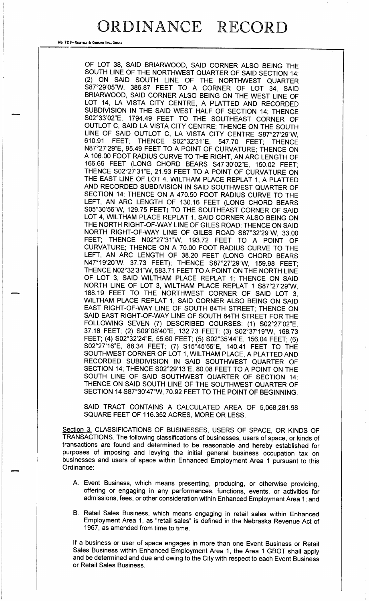No. 72 8-Redfield & Company Inc., OMAHA

OF LOT 38, SAID BRIARWOOD, SAID CORNER ALSO BEING THE SOUTH LINE OF THE NORTHWEST QUARTER OF SAID SECTION 14; 2) ON SAID SOUTH LINE OF THE NORTHWEST QUARTER S87°29'05"W, 386.87 FEET TO A CORNER OF LOT 34, SAID BRIARWOOD, SAID CORNER ALSO BEING ON THE WEST LINE OF LOT 14, LA VISTA CITY CENTRE, A PLATTED AND RECORDED SUBDIVISION IN THE SAID WEST HALF OF SECTION 14; THENCE S02°33'02"E, 1794.49 FEET TO THE SOUTHEAST CORNER OF OUTLOT C, SAID LA VISTA CITY CENTRE; THENCE ON THE SOUTH LINE OF SAID OUTLOT C, LA VISTA CITY CENTRE S87°27'29"W,<br>610.91 FEET: THENCE S02°32'31"F 547.70 FEET: THENCE THENCE S02°32'31"E, 547.70 FEET; THENCE N87°27'29"E, 95.49 FEET TO A POINT OF CURVATURE; THENCE ON A 106. 00 FOOT RADIUS CURVE TO THE RIGHT, AN ARC LENGTH OF 166. 66 FEET ( LONG CHORD BEARS S47' 30' 02" E, 150.02 FEET; THENCE S02° 27' 31" E, 21. 93 FEET TO A POINT OF CURVATURE ON THE EAST LINE OF LOT 4, WILTHAM PLACE REPLAT 1, A PLATTED AND RECORDED SUBDIVISION IN SAID SOUTHWEST QUARTER OF SECTION 14; THENCE ON A 470.50 FOOT RADIUS CURVE TO THE LEFT, AN ARC LENGTH OF 130.16 FEET (LONG CHORD BEARS S05°30'56"W, 129.75 FEET) TO THE SOUTHEAST CORNER OF SAID LOT 4, WILTHAM PLACE REPLAT 1, SAID CORNER ALSO BEING ON THE NORTH RIGHT-OF-WAY LINE OF GILES ROAD; THENCE ON SAID NORTH RIGHT-OF-WAY LINE OF GILES ROAD S87°32'29"W, 33.00 FEET; THENCE N02°27'31"W, 193.72 FEET TO A POINT OF CURVATURE; THENCE ON A 70. 00 FOOT RADIUS CURVE TO THE LEFT, AN ARC LENGTH OF 38.20 FEET (LONG CHORD BEARS N47°19'20"W, 37.73 FEET); THENCE S87°27'29"W, 159.98 FEET; THENCE N02°32'31"W, 583.71 FEET TO A POINT ON THE NORTH LINE OF LOT 3, SAID WILTHAM PLACE REPLAT 1; THENCE ON SAID NORTH LINE OF LOT 3, WILTHAM PLACE REPLAT 1 S87°27'29"W, 188. 19 FEET TO THE NORTHWEST CORNER OF SAID LOT 3, WILTHAM PLACE REPLAT 1, SAID CORNER ALSO BEING ON SAID EAST RIGHT-OF-WAY LINE OF SOUTH 84TH STREET; THENCE ON SAID EAST RIGHT-OF-WAY LINE OF SOUTH 84TH STREET FOR THE FOLLOWING SEVEN (7) DESCRIBED COURSES: (1) S02°27'02"E, 37.18 FEET; (2) S09°08'40"E, 132.73 FEET: (3) S02°37'19"W, 168.73 FEET; (4) S02°32'24"E, 55.60 FEET; (5) S02°35'44"E, 156.04 FEET; (6) S02°27'16"E, 88.34 FEET; (7) S15°45'55"E, 140.41 FEET TO THE SOUTHWEST CORNER OF LOT 1, WILTHAM PLACE, A PLATTED AND RECORDED SUBDIVISION IN SAID SOUTHWEST QUARTER OF SECTION 14; THENCE S02°29'13"E, 80.08 FEET TO A POINT ON THE SOUTH LINE OF SAID SOUTHWEST QUARTER OF SECTION 14; THENCE ON SAID SOUTH LINE OF THE SOUTHWEST QUARTER OF SECTION 14 S87°30'47"W, 70.92 FEET TO THE POINT OF BEGINNING.

SAID TRACT CONTAINS A CALCULATED AREA OF 5,068,281.98 SQUARE FEET OF 116. 352 ACRES, MORE OR LESS.

Section 3. CLASSIFICATIONS OF BUSINESSES, USERS OF SPACE, OR KINDS OF TRANSACTIONS. The following classifications of businesses, users of space, or kinds of transactions are found and determined to be reasonable and hereby established for purposes of imposing and levying the initial general business occupation tax on businesses and users of space within Enhanced Employment Area <sup>1</sup> pursuant to this Ordinance:

- A. Event Business, which means presenting, producing, or otherwise providing, offering or engaging in any performances, functions, events, or activities for admissions, fees, or other consideration within Enhanced Employment Area 1; and
- B. Retail Sales Business, which means engaging in retail sales within Enhanced Employment Area 1, as " retail sales" is defined in the Nebraska Revenue Act of 1967, as amended from time to time.

If a business or user of space engages in more than one Event Business or Retail Sales Business within Enhanced Employment Area 1, the Area <sup>1</sup> GBOT shall apply and be determined and due and owing to the City with respect to each Event Business or Retail Sales Business.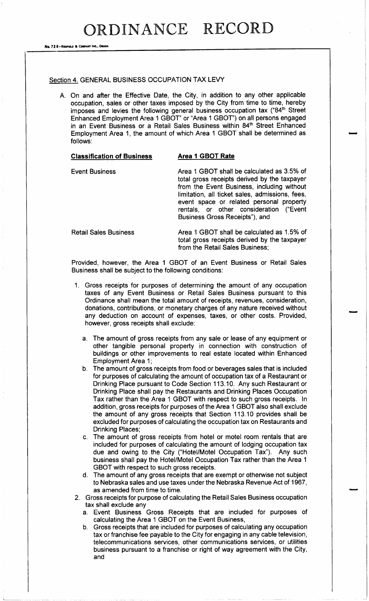No. 72 8-Reprise & Co.

### Section 4. GENERAL BUSINESS OCCUPATION TAX LEVY

A. On and after the Effective Date, the City, in addition to any other applicable occupation, sales or other taxes imposed by the City from time to time, hereby imposes and levies the following general business occupation tax ("84<sup>th</sup> Street Enhanced Employment Area 1 GBOT" or "Area 1 GBOT") on all persons engaged in an Event Business or a Retail Sales Business within 84<sup>th</sup> Street Enhanced Employment Area 1, the amount of which Area <sup>1</sup> GBOT shall be determined as follows:

### Classification of Business Area 1 GBOT Rate

Event Business **Area 1 GBOT** shall be calculated as 3.5% of total gross receipts derived by the taxpayer from the Event Business, including without limitation, all ticket sales, admissions, fees, event space or related personal property rentals, or other consideration ("Event. Business Gross Receipts"), and

Retail Sales Business **Area 1 GBOT** shall be calculated as 1.5% of total gross receipts derived by the taxpayer from the Retail Sales Business;

Provided, however, the Area <sup>1</sup> GBOT of an Event Business or Retail Sales Business shall be subject to the following conditions:

- 1. Gross receipts for purposes of determining the amount of any occupation taxes of any Event Business or Retail Sales Business pursuant to this Ordinance shall mean the total amount of receipts, revenues, consideration, donations, contributions, or monetary charges of any nature received without any deduction on account of expenses, taxes, or other costs. Provided, however, gross receipts shall exclude:
	- a. The amount of gross receipts from any sale or lease of any equipment or other tangible personal property in connection with construction of buildings or other improvements to real estate located within Enhanced Employment Area 1;
	- b. The amount of gross receipts from food or beverages sales that is included for purposes of calculating the amount of occupation tax of a Restaurant or Drinking Place pursuant to Code Section 113. 10. Any such Restaurant or Drinking Place shall pay the Restaurants and Drinking Places Occupation Tax rather than the Area <sup>1</sup> GBOT with respect to such gross receipts. In addition, gross receipts for purposes of the Area <sup>1</sup> GBOT also shall exclude the amount of any gross receipts that Section 113. 10 provides shall be excluded for purposes of calculating the occupation tax on Restaurants and Drinking Places;
	- The amount of gross receipts from hotel or motel room rentals that are included for purposes of calculating the amount of lodging occupation tax due and owing to the City ("Hotel/Motel Occupation Tax"). Any such business shall pay the Hotel/Motel Occupation Tax rather than the Area 1 GBOT with respect to such gross receipts.
	- d. The amount of any gross receipts that are exempt or otherwise not subject to Nebraska sales and use taxes under the Nebraska Revenue Act of 1967, as amended from time to time.
- 2. Gross receipts for purpose of calculating the Retail Sales Business occupation tax shall exclude any
	- a. Event Business Gross Receipts that are included for purposes of calculating the Area <sup>1</sup> GBOT on the Event Business,
	- b. Gross receipts that are included for purposes of calculating any occupation tax or franchise fee payable to the City for engaging in any cable television, telecommunications services, other communications services, or utilities business pursuant to a franchise or right of way agreement with the City, and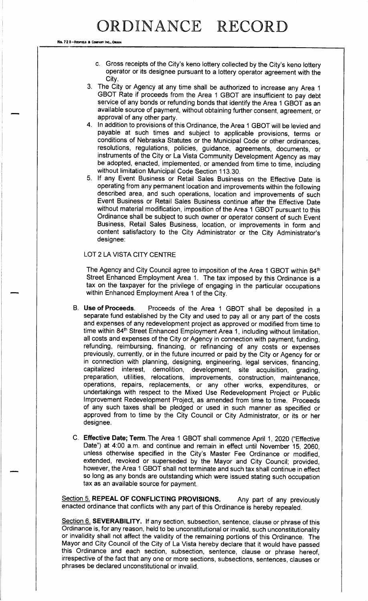No. 72 8-REDFIELD & COMPANY INC., OMAH

- c. Gross receipts of the City's keno lottery collected by the City's keno lottery operator or its designee pursuant to a lottery operator agreement with the City.
- 3. The City or Agency at any time shall be authorized to increase any Area <sup>1</sup> GBOT Rate if proceeds from the Area 1 GBOT are insufficient to pay debt service of any bonds or refunding bonds that identify the Area <sup>1</sup> GBOT as an available source of payment, without obtaining further consent, agreement, or approval of any other party.
- 4. In addition to provisions of this Ordinance, the Area <sup>1</sup> GBOT will be levied and payable at such times and subject to applicable provisions, terms or conditions of Nebraska Statutes or the Municipal Code or other ordinances, resolutions, regulations, policies, guidance, agreements, documents, or instruments of the City or La Vista Community Development Agency as may be adopted, enacted, implemented, or amended from time to time, including without limitation Municipal Code Section 113. 30.
- 5. If any Event Business or Retail Sales Business on the Effective Date is operating from any permanent location and improvements within the following described area, and such operations, location and improvements of such Event Business or Retail Sales Business continue after the Effective Date without material modification, imposition of the Area <sup>1</sup> GBOT pursuant to this Ordinance shall be subject to such owner or operator consent of such Event Business, Retail Sales Business, location, or improvements in form and content satisfactory to the City Administrator or the City Administrator's designee:

### LOT 2 LA VISTA CITY CENTRE

The Agency and City Council agree to imposition of the Area 1 GBOT within 84<sup>th</sup> Street Enhanced Employment Area 1. The tax imposed by this Ordinance is <sup>a</sup> tax on the taxpayer for the privilege of engaging in the particular occupations within Enhanced Employment Area <sup>1</sup> of the City.

- B. Use of Proceeds. Proceeds of the Area <sup>1</sup> GBOT shall be deposited in <sup>a</sup> separate fund established by the City and used to pay all or any part of the costs and expenses of any redevelopment project as approved or modified from time to time within 84<sup>th</sup> Street Enhanced Employment Area 1, including without limitation, all costs and expenses of the City or Agency in connection with payment, funding, refunding, reimbursing, financing, or refinancing of any costs or expenses previously, currently, or in the future incurred or paid by the City or Agency for or in connection with planning, designing, engineering, legal services, financing, capitalized interest, demolition, development, site acquisition, grading, development, site acquisition, grading, preparation, utilities, relocations, improvements, construction, maintenance, operations, repairs, replacements, or any other works, expenditures, or undertakings with respect to the Mixed Use Redevelopment Project or Public Improvement Redevelopment Project, as amended from time to time. Proceeds of any such taxes shall be pledged or used in such manner as specified or approved from to time by the City Council or City Administrator, or its or her designee.
- C. Effective Date; Term. The Area 1 GBOT shall commence April 1, 2020 ("Effective Date") at 4:00 a.m. and continue and remain in effect until November 15, 2060, unless otherwise specified in the City's Master Fee Ordinance or modified, extended, revoked or superseded by the Mayor and City Council; provided, however, the Area <sup>1</sup> GBOT shall not terminate and such tax shall continue in effect so long as any bonds are outstanding which were issued stating such occupation tax as an available source for payment.

Section 5. REPEAL OF CONFLICTING PROVISIONS. Any part of any previously enacted ordinance that conflicts with any part of this Ordinance is hereby repealed.

Section 6. SEVERABILITY. If any section, subsection, sentence, clause or phrase of this Ordinance is, for any reason, held to be unconstitutional or invalid, such unconstitutionality or invalidity shall not affect the validity of the remaining portions of this Ordinance. The Mayor and City Council of the City of La Vista hereby declare that it would have passed this Ordinance and each section, subsection, sentence, clause or phrase hereof, irrespective of the fact that any one or more sections, subsections, sentences, clauses or phrases be declared unconstitutional or invalid.